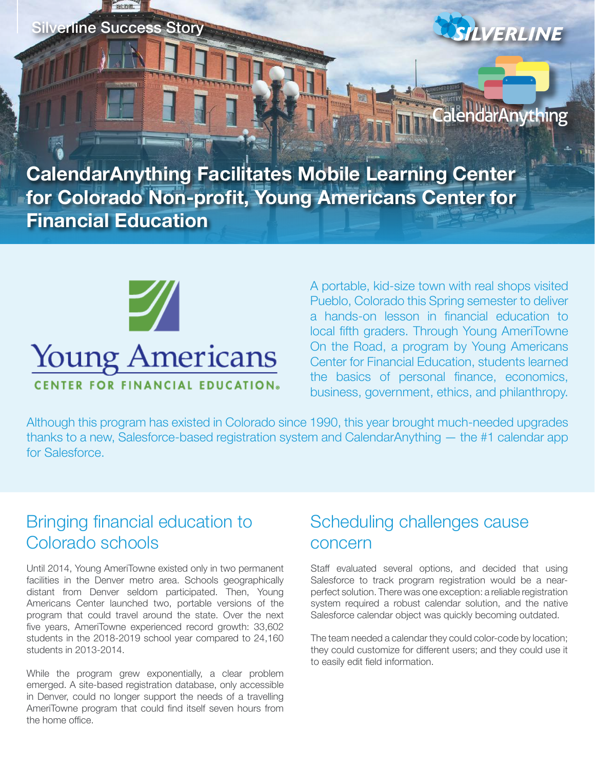Silverline Success Story



alendarAnything

**CalendarAnything Facilitates Mobile Learning Center for Colorado Non-profit, Young Americans Center for Financial Education**



# **Young Americans**

CENTER FOR FINANCIAL EDUCATION.

A portable, kid-size town with real shops visited Pueblo, Colorado this Spring semester to deliver a hands-on lesson in financial education to local fifth graders. Through Young AmeriTowne On the Road, a program by Young Americans Center for Financial Education, students learned the basics of personal finance, economics, business, government, ethics, and philanthropy.

Although this program has existed in Colorado since 1990, this year brought much-needed upgrades thanks to a new, Salesforce-based registration system and CalendarAnything — the #1 calendar app for Salesforce.

## Bringing financial education to Colorado schools

Until 2014, Young AmeriTowne existed only in two permanent facilities in the Denver metro area. Schools geographically distant from Denver seldom participated. Then, Young Americans Center launched two, portable versions of the program that could travel around the state. Over the next five years, AmeriTowne experienced record growth: 33,602 students in the 2018-2019 school year compared to 24,160 students in 2013-2014.

While the program grew exponentially, a clear problem emerged. A site-based registration database, only accessible in Denver, could no longer support the needs of a travelling AmeriTowne program that could find itself seven hours from the home office.

# Scheduling challenges cause concern

Staff evaluated several options, and decided that using Salesforce to track program registration would be a nearperfect solution. There was one exception: a reliable registration system required a robust calendar solution, and the native Salesforce calendar object was quickly becoming outdated.

The team needed a calendar they could color-code by location; they could customize for different users; and they could use it to easily edit field information.